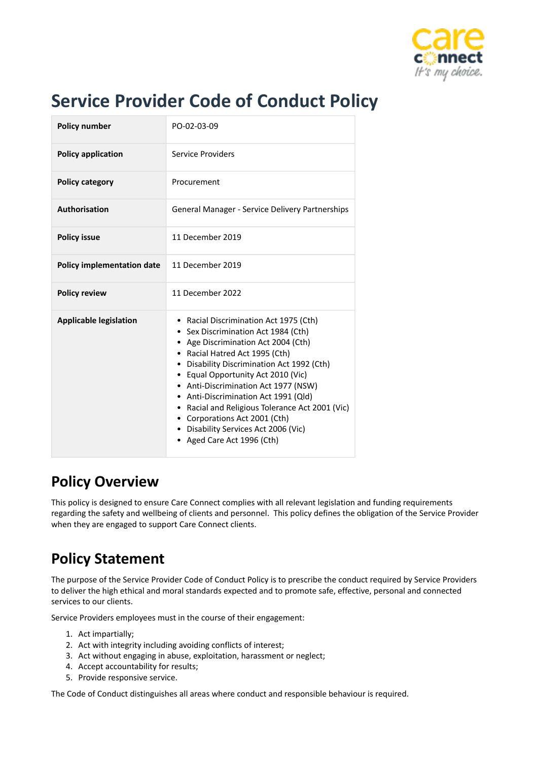

# **Service Provider Code of Conduct Policy**

| <b>Policy number</b>              | PO-02-03-09                                                                                                                                                                                                                                                                                                                                                                                                                                                                             |
|-----------------------------------|-----------------------------------------------------------------------------------------------------------------------------------------------------------------------------------------------------------------------------------------------------------------------------------------------------------------------------------------------------------------------------------------------------------------------------------------------------------------------------------------|
| <b>Policy application</b>         | Service Providers                                                                                                                                                                                                                                                                                                                                                                                                                                                                       |
| <b>Policy category</b>            | Procurement                                                                                                                                                                                                                                                                                                                                                                                                                                                                             |
| Authorisation                     | General Manager - Service Delivery Partnerships                                                                                                                                                                                                                                                                                                                                                                                                                                         |
| <b>Policy issue</b>               | 11 December 2019                                                                                                                                                                                                                                                                                                                                                                                                                                                                        |
| <b>Policy implementation date</b> | 11 December 2019                                                                                                                                                                                                                                                                                                                                                                                                                                                                        |
| <b>Policy review</b>              | 11 December 2022                                                                                                                                                                                                                                                                                                                                                                                                                                                                        |
| <b>Applicable legislation</b>     | • Racial Discrimination Act 1975 (Cth)<br>• Sex Discrimination Act 1984 (Cth)<br>• Age Discrimination Act 2004 (Cth)<br>• Racial Hatred Act 1995 (Cth)<br>• Disability Discrimination Act 1992 (Cth)<br>• Equal Opportunity Act 2010 (Vic)<br>• Anti-Discrimination Act 1977 (NSW)<br>Anti-Discrimination Act 1991 (Qld)<br>٠<br>• Racial and Religious Tolerance Act 2001 (Vic)<br>• Corporations Act 2001 (Cth)<br>• Disability Services Act 2006 (Vic)<br>• Aged Care Act 1996 (Cth) |

### **Policy Overview**

This policy is designed to ensure Care Connect complies with all relevant legislation and funding requirements regarding the safety and wellbeing of clients and personnel. This policy defines the obligation of the Service Provider when they are engaged to support Care Connect clients.

## **Policy Statement**

The purpose of the Service Provider Code of Conduct Policy is to prescribe the conduct required by Service Providers to deliver the high ethical and moral standards expected and to promote safe, effective, personal and connected services to our clients.

Service Providers employees must in the course of their engagement:

- 1. Act impartially;
- 2. Act with integrity including avoiding conflicts of interest;
- 3. Act without engaging in abuse, exploitation, harassment or neglect;
- 4. Accept accountability for results;
- 5. Provide responsive service.

The Code of Conduct distinguishes all areas where conduct and responsible behaviour is required.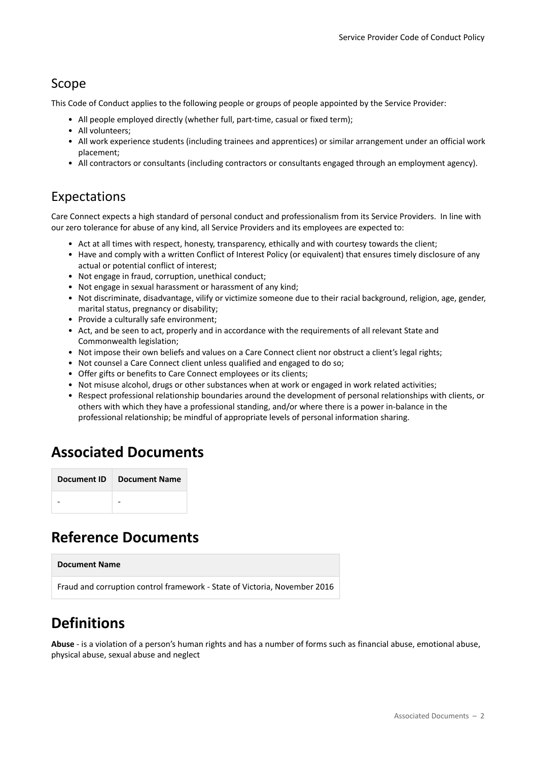#### Scope

This Code of Conduct applies to the following people or groups of people appointed by the Service Provider:

- All people employed directly (whether full, part-time, casual or fixed term);
- All volunteers;
- All work experience students (including trainees and apprentices) or similar arrangement under an official work placement;
- All contractors or consultants (including contractors or consultants engaged through an employment agency).

#### Expectations

Care Connect expects a high standard of personal conduct and professionalism from its Service Providers. In line with our zero tolerance for abuse of any kind, all Service Providers and its employees are expected to:

- Act at all times with respect, honesty, transparency, ethically and with courtesy towards the client;
- Have and comply with a written Conflict of Interest Policy (or equivalent) that ensures timely disclosure of any actual or potential conflict of interest;
- Not engage in fraud, corruption, unethical conduct;
- Not engage in sexual harassment or harassment of any kind;
- Not discriminate, disadvantage, vilify or victimize someone due to their racial background, religion, age, gender, marital status, pregnancy or disability;
- Provide a culturally safe environment;
- Act, and be seen to act, properly and in accordance with the requirements of all relevant State and Commonwealth legislation;
- Not impose their own beliefs and values on a Care Connect client nor obstruct a client's legal rights;
- Not counsel a Care Connect client unless qualified and engaged to do so;
- Offer gifts or benefits to Care Connect employees or its clients;
- Not misuse alcohol, drugs or other substances when at work or engaged in work related activities;
- Respect professional relationship boundaries around the development of personal relationships with clients, or others with which they have a professional standing, and/or where there is a power in-balance in the professional relationship; be mindful of appropriate levels of personal information sharing.

### **Associated Documents**

### **Reference Documents**

#### **Document Name**

Fraud and corruption control framework - State of Victoria, November 2016

### **Definitions**

**Abuse** - is a violation of a person's human rights and has a number of forms such as financial abuse, emotional abuse, physical abuse, sexual abuse and neglect